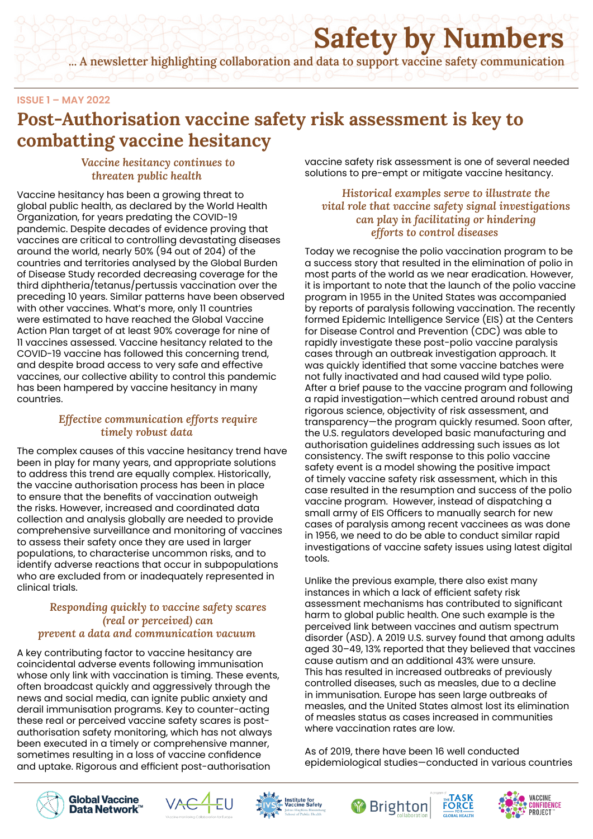# **Safety by Numbers**

**... A newsletter highlighting collaboration and data to support vaccine safety communication**

#### **ISSUE 1 – MAY 2022**

### **Post-Authorisation vaccine safety risk assessment is key to combatting vaccine hesitancy**

*Vaccine hesitancy continues to threaten public health*

Vaccine hesitancy has been a growing threat to global public health, as declared by the World Health Organization, for years predating the COVID-19 pandemic. Despite decades of evidence proving that vaccines are critical to controlling devastating diseases around the world, nearly 50% (94 out of 204) of the countries and territories analysed by the Global Burden of Disease Study recorded decreasing coverage for the third diphtheria/tetanus/pertussis vaccination over the preceding 10 years. Similar patterns have been observed with other vaccines. What's more, only 11 countries were estimated to have reached the Global Vaccine Action Plan target of at least 90% coverage for nine of 11 vaccines assessed. Vaccine hesitancy related to the COVID-19 vaccine has followed this concerning trend, and despite broad access to very safe and effective vaccines, our collective ability to control this pandemic has been hampered by vaccine hesitancy in many countries.

#### *Effective communication efforts require timely robust data*

The complex causes of this vaccine hesitancy trend have been in play for many years, and appropriate solutions to address this trend are equally complex. Historically, the vaccine authorisation process has been in place to ensure that the benefits of vaccination outweigh the risks. However, increased and coordinated data collection and analysis globally are needed to provide comprehensive surveillance and monitoring of vaccines to assess their safety once they are used in larger populations, to characterise uncommon risks, and to identify adverse reactions that occur in subpopulations who are excluded from or inadequately represented in clinical trials.

#### *Responding quickly to vaccine safety scares (real or perceived) can prevent a data and communication vacuum*

A key contributing factor to vaccine hesitancy are coincidental adverse events following immunisation whose only link with vaccination is timing. These events, often broadcast quickly and aggressively through the news and social media, can ignite public anxiety and derail immunisation programs. Key to counter-acting these real or perceived vaccine safety scares is postauthorisation safety monitoring, which has not always been executed in a timely or comprehensive manner, sometimes resulting in a loss of vaccine confidence and uptake. Rigorous and efficient post-authorisation

vaccine safety risk assessment is one of several needed solutions to pre-empt or mitigate vaccine hesitancy.

#### *Historical examples serve to illustrate the vital role that vaccine safety signal investigations can play in facilitating or hindering efforts to control diseases*

Today we recognise the polio vaccination program to be a success story that resulted in the elimination of polio in most parts of the world as we near eradication. However, it is important to note that the launch of the polio vaccine program in 1955 in the United States was accompanied by reports of paralysis following vaccination. The recently formed Epidemic Intelligence Service (EIS) at the Centers for Disease Control and Prevention (CDC) was able to rapidly investigate these post-polio vaccine paralysis cases through an outbreak investigation approach. It was quickly identified that some vaccine batches were not fully inactivated and had caused wild type polio. After a brief pause to the vaccine program and following a rapid investigation—which centred around robust and rigorous science, objectivity of risk assessment, and transparency—the program quickly resumed. Soon after, the U.S. regulators developed basic manufacturing and authorisation guidelines addressing such issues as lot consistency. The swift response to this polio vaccine safety event is a model showing the positive impact of timely vaccine safety risk assessment, which in this case resulted in the resumption and success of the polio vaccine program. However, instead of dispatching a small army of EIS Officers to manually search for new cases of paralysis among recent vaccinees as was done in 1956, we need to do be able to conduct similar rapid investigations of vaccine safety issues using latest digital tools.

Unlike the previous example, there also exist many instances in which a lack of efficient safety risk assessment mechanisms has contributed to significant harm to global public health. One such example is the perceived link between vaccines and autism spectrum disorder (ASD). A 2019 U.S. survey found that among adults aged 30–49, 13% reported that they believed that vaccines cause autism and an additional 43% were unsure. This has resulted in increased outbreaks of previously controlled diseases, such as measles, due to a decline in immunisation. Europe has seen large outbreaks of measles, and the United States almost lost its elimination of measles status as cases increased in communities where vaccination rates are low.

As of 2019, there have been 16 well conducted epidemiological studies—conducted in various countries











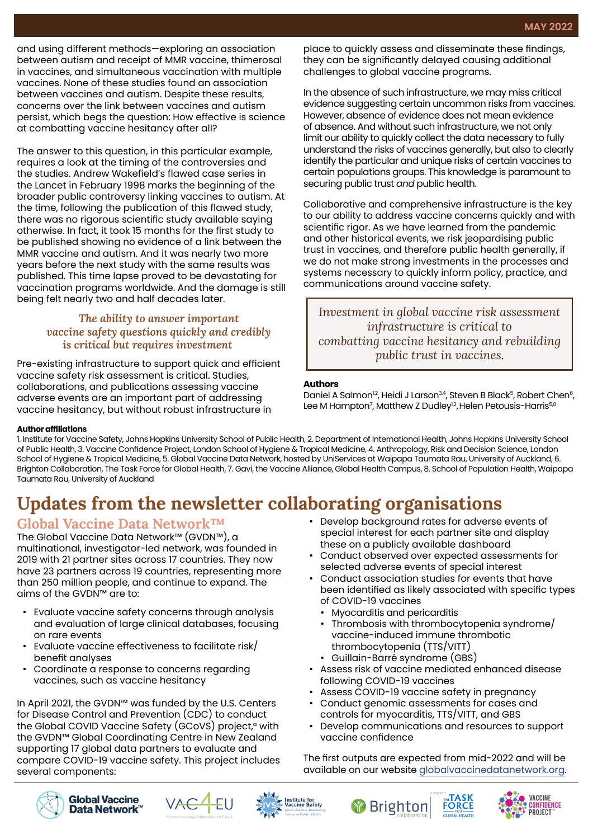and using different methods—exploring an association between autism and receipt of MMR vaccine, thimerosal in vaccines, and simultaneous vaccination with multiple vaccines. None of these studies found an association between vaccines and autism. Despite these results, concerns over the link between vaccines and autism persist, which begs the question: How effective is science at combatting vaccine hesitancy after all?

The answer to this question, in this particular example, requires a look at the timing of the controversies and the studies. Andrew Wakefield's flawed case series in the Lancet in February 1998 marks the beginning of the broader public controversy linking vaccines to autism. At the time, following the publication of this flawed study, there was no rigorous scientific study available saying otherwise. In fact, it took 15 months for the first study to be published showing no evidence of a link between the MMR vaccine and autism. And it was nearly two more years before the next study with the same results was published. This time lapse proved to be devastating for vaccination programs worldwide. And the damage is still being felt nearly two and half decades later.

#### *The ability to answer important vaccine safety questions quickly and credibly is critical but requires investment*

Pre-existing infrastructure to support quick and efficient vaccine safety risk assessment is critical. Studies, collaborations, and publications assessing vaccine adverse events are an important part of addressing vaccine hesitancy, but without robust infrastructure in

place to quickly assess and disseminate these findings, they can be significantly delayed causing additional challenges to global vaccine programs.

In the absence of such infrastructure, we may miss critical evidence suggesting certain uncommon risks from vaccines. However, absence of evidence does not mean evidence of absence. And without such infrastructure, we not only limit our ability to quickly collect the data necessary to fully understand the risks of vaccines generally, but also to clearly identify the particular and unique risks of certain vaccines to certain populations groups. This knowledge is paramount to securing public trust *and* public health.

Collaborative and comprehensive infrastructure is the key to our ability to address vaccine concerns quickly and with scientific rigor. As we have learned from the pandemic and other historical events, we risk jeopardising public trust in vaccines, and therefore public health generally, if we do not make strong investments in the processes and systems necessary to quickly inform policy, practice, and communications around vaccine safety.

*Investment in global vaccine risk assessment infrastructure is critical to combatting vaccine hesitancy and rebuilding public trust in vaccines.*

#### **Authors**

Daniel A Salmon<sup>12</sup>, Heidi J Larson<sup>3,4</sup>, Steven B Black<sup>5</sup>, Robert Chen<sup>6</sup>, Lee M Hampton<sup>7</sup>, Matthew Z Dudley<sup>1,2</sup>, Helen Petousis-Harris<sup>5,8</sup>

#### **Author affiliations**

1. Institute for Vaccine Safety, Johns Hopkins University School of Public Health, 2. Department of International Health, Johns Hopkins University School of Public Health, 3. Vaccine Confidence Project, London School of Hygiene & Tropical Medicine, 4. Anthropology, Risk and Decision Science, London School of Hygiene & Tropical Medicine, 5. Global Vaccine Data Network, hosted by UniServices at Waipapa Taumata Rau, University of Auckland, 6. Brighton Collaboration, The Task Force for Global Health, 7. Gavi, the Vaccine Alliance, Global Health Campus, 8. School of Population Health, Waipapa Taumata Rau, University of Auckland

# **Updates from the newsletter collaborating organisations**

### **Global Vaccine Data Network™**

The Global Vaccine Data Network™ (GVDN™), a multinational, investigator-led network, was founded in 2019 with 21 partner sites across 17 countries. They now have 23 partners across 19 countries, representing more than 250 million people, and continue to expand. The aims of the GVDN™ are to:

- Evaluate vaccine safety concerns through analysis and evaluation of large clinical databases, focusing on rare events
- Evaluate vaccine effectiveness to facilitate risk/ benefit analyses
- Coordinate a response to concerns regarding vaccines, such as vaccine hesitancy

In April 2021, the GVDN™ was funded by the U.S. Centers for Disease Control and Prevention (CDC) to conduct the Global COVID Vaccine Safety (GCoVS) project, $\alpha$  with the GVDN™ Global Coordinating Centre in New Zealand supporting 17 global data partners to evaluate and compare COVID-19 vaccine safety. This project includes several components:

- Develop background rates for adverse events of special interest for each partner site and display these on a publicly available dashboard
- Conduct observed over expected assessments for selected adverse events of special interest
- Conduct association studies for events that have been identified as likely associated with specific types of COVID-19 vaccines
	- Myocarditis and pericarditis
	- Thrombosis with thrombocytopenia syndrome/ vaccine-induced immune thrombotic thrombocytopenia (TTS/VITT)
	- Guillain-Barré syndrome (GBS)

**Brighton** 

- Assess risk of vaccine mediated enhanced disease following COVID-19 vaccines
- Assess COVID-19 vaccine safety in pregnancy
- Conduct genomic assessments for cases and controls for myocarditis, TTS/VITT, and GBS
- Develop communications and resources to support vaccine confidence

The first outputs are expected from mid-2022 and will be available on our website [globalvaccinedatanetwork.org](http://www.globalvaccinedatanetwork.org).

**FORCE** 

VACCINE

PROJECT

ONFIDENCE







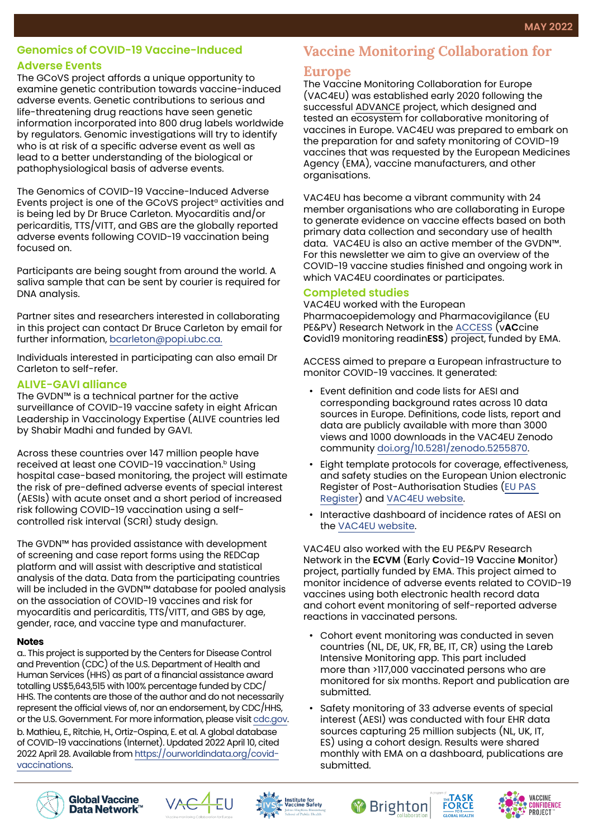#### **Genomics of COVID-19 Vaccine-Induced**

#### **Adverse Events**

The GCoVS project affords a unique opportunity to examine genetic contribution towards vaccine-induced adverse events. Genetic contributions to serious and life-threatening drug reactions have seen genetic information incorporated into 800 drug labels worldwide by regulators. Genomic investigations will try to identify who is at risk of a specific adverse event as well as lead to a better understanding of the biological or pathophysiological basis of adverse events.

The Genomics of COVID-19 Vaccine-Induced Adverse Events project is one of the GCoVS project<sup>a</sup> activities and is being led by Dr Bruce Carleton. Myocarditis and/or pericarditis, TTS/VITT, and GBS are the globally reported adverse events following COVID-19 vaccination being focused on.

Participants are being sought from around the world. A saliva sample that can be sent by courier is required for DNA analysis.

Partner sites and researchers interested in collaborating in this project can contact Dr Bruce Carleton by email for further information, [bcarleton@popi.ubc.ca.](mailto:bcarleton%40popi.ubc.ca.%20%20?subject=COVID-19%20vaccine%20genomics%20study)

Individuals interested in participating can also email Dr Carleton to self-refer.

#### **ALIVE-GAVI alliance**

The GVDN™ is a technical partner for the active surveillance of COVID-19 vaccine safety in eight African Leadership in Vaccinology Expertise (ALIVE countries led by Shabir Madhi and funded by GAVI.

Across these countries over 147 million people have received at least one COVID-19 vaccination.<sup>b</sup> Using hospital case-based monitoring, the project will estimate the risk of pre-defined adverse events of special interest (AESIs) with acute onset and a short period of increased risk following COVID-19 vaccination using a selfcontrolled risk interval (SCRI) study design.

The GVDN™ has provided assistance with development of screening and case report forms using the REDCap platform and will assist with descriptive and statistical analysis of the data. Data from the participating countries will be included in the GVDN™ database for pooled analysis on the association of COVID-19 vaccines and risk for myocarditis and pericarditis, TTS/VITT, and GBS by age, gender, race, and vaccine type and manufacturer.

#### **Notes**

a.. This project is supported by the Centers for Disease Control and Prevention (CDC) of the U.S. Department of Health and Human Services (HHS) as part of a financial assistance award totalling US\$5,643,515 with 100% percentage funded by CDC/ HHS. The contents are those of the author and do not necessarily represent the official views of, nor an endorsement, by CDC/HHS, or the U.S. Government. For more information, please visit [cdc.gov](http://wwww.cdc.gov). b. Mathieu, E., Ritchie, H., Ortiz-Ospina, E. et al. A global database of COVID-19 vaccinations (Internet). Updated 2022 April 10, cited 2022 April 28. Available from [https://ourworldindata.org/covid](https://ourworldindata.org/covid-vaccinations)[vaccinations.](https://ourworldindata.org/covid-vaccinations)

# **Vaccine Monitoring Collaboration for**

#### **Europe**

The Vaccine Monitoring Collaboration for Europe (VAC4EU) was established early 2020 following the successful ADVANCE project, which designed and tested an ecosystem for collaborative monitoring of vaccines in Europe. VAC4EU was prepared to embark on the preparation for and safety monitoring of COVID-19 vaccines that was requested by the European Medicines Agency (EMA), vaccine manufacturers, and other organisations.

VAC4EU has become a vibrant community with 24 member organisations who are collaborating in Europe to generate evidence on vaccine effects based on both primary data collection and secondary use of health data. VAC4EU is also an active member of the GVDN™. For this newsletter we aim to give an overview of the COVID-19 vaccine studies finished and ongoing work in which VAC4EU coordinates or participates.

#### **Completed studies**

VAC4EU worked with the European Pharmacoepidemology and Pharmacovigilance (EU PE&PV) Research Network in the [ACCESS](https://vac4eu.org/covid-19-vaccine-monitoring/) (v**AC**cine **C**ovid19 monitoring readin**ESS**) project, funded by EMA.

ACCESS aimed to prepare a European infrastructure to monitor COVID-19 vaccines. It generated:

- Event definition and code lists for AESI and corresponding background rates across 10 data sources in Europe. Definitions, code lists, report and data are publicly available with more than 3000 views and 1000 downloads in the VAC4EU Zenodo community [doi.org/10.5281/zenodo.5255870.](http://doi.org/10.5281/zenodo.5255870)
- Eight template protocols for coverage, effectiveness, and safety studies on the European Union electronic Register of Post-Authorisation Studies ([EU PAS](https://www.encepp.eu/encepp_studies/indexRegister.shtml)  [Register](https://www.encepp.eu/encepp_studies/indexRegister.shtml)) and [VAC4EU website](https://vac4eu.org/covid-19-vaccine-monitoring/).
- Interactive dashboard of incidence rates of AESI on the [VAC4EU website](https://vac4eu.org/covid-19-tool/).

VAC4EU also worked with the EU PE&PV Research Network in the **ECVM** (**E**arly **C**ovid-19 **V**accine **M**onitor) project, partially funded by EMA. This project aimed to monitor incidence of adverse events related to COVID-19 vaccines using both electronic health record data and cohort event monitoring of self-reported adverse reactions in vaccinated persons.

- Cohort event monitoring was conducted in seven countries (NL, DE, UK, FR, BE, IT, CR) using the Lareb Intensive Monitoring app. This part included more than >117,000 vaccinated persons who are monitored for six months. Report and publication are submitted.
- Safety monitoring of 33 adverse events of special interest (AESI) was conducted with four EHR data sources capturing 25 million subjects (NL, UK, IT, ES) using a cohort design. Results were shared monthly with EMA on a dashboard, publications are submitted.











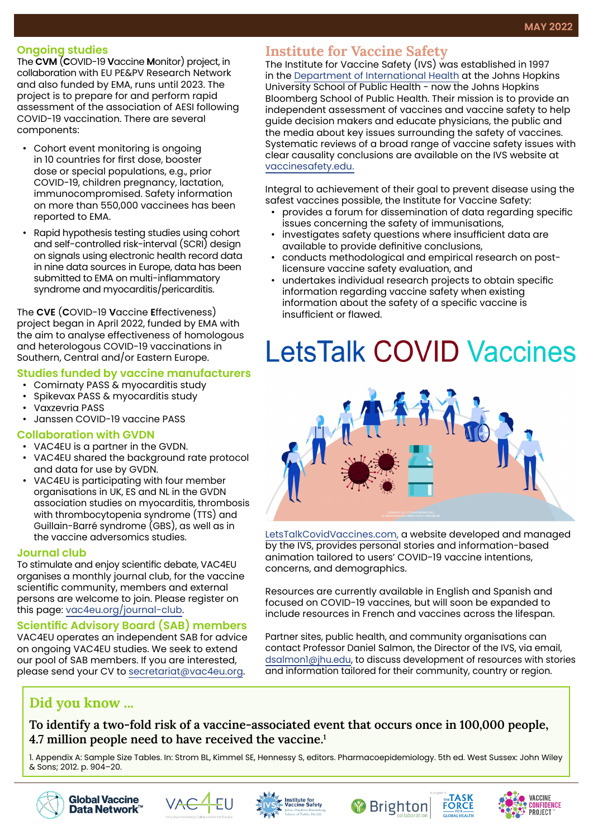#### **Ongoing studies**

The **CVM** (**C**OVID-19 **V**accine **M**onitor) project, in collaboration with EU PE&PV Research Network and also funded by EMA, runs until 2023. The project is to prepare for and perform rapid assessment of the association of AESI following COVID-19 vaccination. There are several components:

- Cohort event monitoring is ongoing in 10 countries for first dose, booster dose or special populations, e.g., prior COVID-19, children pregnancy, lactation, immunocompromised. Safety information on more than 550,000 vaccinees has been reported to EMA.
- Rapid hypothesis testing studies using cohort and self-controlled risk-interval (SCRI) design on signals using electronic health record data in nine data sources in Europe, data has been submitted to EMA on multi-inflammatory syndrome and myocarditis/pericarditis.

The **CVE** (**C**OVID-19 **V**accine **E**ffectiveness) project began in April 2022, funded by EMA with the aim to analyse effectiveness of homologous and heterologous COVID-19 vaccinations in Southern, Central and/or Eastern Europe.

#### **Studies funded by vaccine manufacturers**

- Comirnaty PASS & myocarditis study
- Spikevax PASS & myocarditis study
- Vaxzevria PASS
- Janssen COVID-19 vaccine PASS

#### **Collaboration with GVDN**

- VAC4EU is a partner in the GVDN.
- VAC4EU shared the background rate protocol and data for use by GVDN.
- VAC4EU is participating with four member organisations in UK, ES and NL in the GVDN association studies on myocarditis, thrombosis with thrombocytopenia syndrome (TTS) and Guillain-Barré syndrome (GBS), as well as in the vaccine adversomics studies.

#### **Journal club**

To stimulate and enjoy scientific debate, VAC4EU organises a monthly journal club, for the vaccine scientific community, members and external persons are welcome to join. Please register on this page: [vac4eu.org/journal-club.](https://vac4eu.org/journal-club.)

#### **Scientific Advisory Board (SAB) members**

VAC4EU operates an independent SAB for advice on ongoing VAC4EU studies. We seek to extend our pool of SAB members. If you are interested, please send your CV to [secretariat@vac4eu.org](mailto:secretariat%40vac4eu.org?subject=Scientific%20Advisory%20Board).

#### **Institute for Vaccine Safety**

The Institute for Vaccine Safety (IVS) was established in 1997 in the [Department of International Health](https://publichealth.jhu.edu/departments/international-health) at the Johns Hopkins University School of Public Health - now the Johns Hopkins Bloomberg School of Public Health. Their mission is to provide an independent assessment of vaccines and vaccine safety to help guide decision makers and educate physicians, the public and the media about key issues surrounding the safety of vaccines. Systematic reviews of a broad range of vaccine safety issues with clear causality conclusions are available on the IVS website at [vaccinesafety.edu.](https://www.vaccinesafety.edu/)

Integral to achievement of their goal to prevent disease using the safest vaccines possible, the Institute for Vaccine Safety:

- provides a forum for dissemination of data regarding specific issues concerning the safety of immunisations,
- investigates safety questions where insufficient data are available to provide definitive conclusions,
- conducts methodological and empirical research on postlicensure vaccine safety evaluation, and
- undertakes individual research projects to obtain specific information regarding vaccine safety when existing information about the safety of a specific vaccine is insufficient or flawed.

# **LetsTalk COVID Vaccines**



[LetsTalkCovidVaccines.com](http://www.LetsTalkCovidVaccines.com), a website developed and managed by the IVS, provides personal stories and information-based animation tailored to users' COVID-19 vaccine intentions, concerns, and demographics.

Resources are currently available in English and Spanish and focused on COVID-19 vaccines, but will soon be expanded to include resources in French and vaccines across the lifespan.

Partner sites, public health, and community organisations can contact Professor Daniel Salmon, the Director of the IVS, via email, [dsalmon1@jhu.edu,](mailto:dsalmon1%40jhu.edu?subject=LetsTalk%20COVID%20Vaccines) to discuss development of resources with stories and information tailored for their community, country or region.

### **Did you know ...**

**To identify a two-fold risk of a vaccine-associated event that occurs once in 100,000 people, 4.7 million people need to have received the vaccine.1**

1. Appendix A: Sample Size Tables. In: Strom BL, Kimmel SE, Hennessy S, editors. Pharmacoepidemiology. 5th ed. West Sussex: John Wiley & Sons; 2012. p. 904–20.